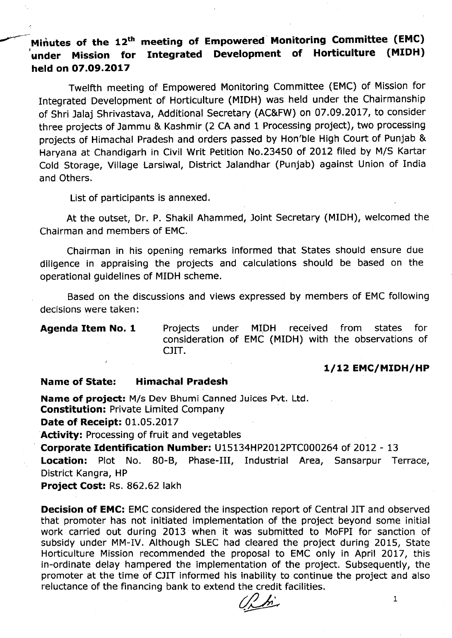# **.",.---- Minutes of the 12th meeting of Empowered· Monitoring Committee (EMC)** !**under Mission for Integrated Development of Horticulture (MIDH) held on 07.09.2017**

Twelfth meeting of Empowered Monitoring Committee (EMC) of Mission for Integrated Development of Horticulture (MIDH) was held under the Chairmanship of Shri Jalaj Shrivastava, Additional Secretary (AC&FW) on 07.09.2017, to consider three projects of Jammu & Kashmir (2 CA and 1 Processing project), two processing projects of Himachal Pradesh and orders passed by Hon'ble High Court of Punjab & Haryana at Chandigarh in Civil Writ Petition NO.23450 of 2012 filed by *MIS* Kartar Cold Storage, Village Larsiwal, District Jalandhar (Punjab) against Union of India and Others.

List of participants is annexed.

At the outset, Dr. P. Shakil Ahammed, Joint Secretary (MIDH), welcomed the Chairman and members of EMC.

Chairman in his opening remarks informed that States should ensure due diligence in appraising the projects and calculations should be based on the operational quidelines of MIDH scheme.

Based on the discussions and views expressed by members of EMC following decisions were taken:

**Agenda Item No. 1** Projects under MIDH received from states for consideration of EMC (MIDH) with the observations of CJIT.

## *1/12* **EMC/MIDH/HP**

## **Name of State: Himachal Pradesh**

**Name of project:** *Mis* Dev Bhumi Canned Juices Pvt. Ltd.

**Constitution:** Private Limited Company

**Date of Receipt:** 01.05.2017

**Activity:** Processing of fruit and vegetables

**Corporate Identification Number:** U15134HP2012PTC000264 of 2012 - 13

**Location:** Plot No. 80-B, Phase-III, Industrial Area, Sansarpur Terrace, District Kangra, HP

**Project Cost:** Rs. 862.62 lakh

**Decision of EMC:** EMC considered the inspection report of Central JIT and observed that promoter has not initiated implementation of the project beyond some initial work carried out during 2013 when it was submitted to MoFPI for sanction of subsidy under MM-IV. Although SLEC had cleared the project during 2015, State Horticulture Mission recommended the proposal to EMC only in April 2017, this in-ordinate delay hampered the implementation of the project. Subsequently, the promoter at the time of CJIT informed his inability to continue the project and also reluctance of the financing bank to extend the credit facilities.

 $\frac{1}{2}$  1 ~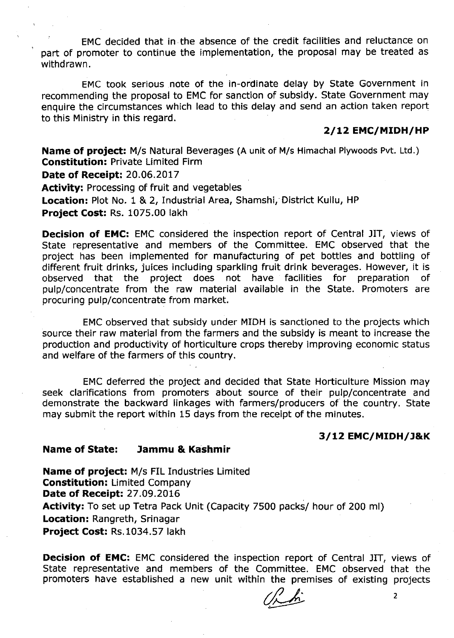EMC decided that in the absence of the credit facilities and reluctance on part of promoter to continue the implementation, the proposal may be treated as withdrawn.

EMC took serious note of the in-ordinate delay by State Government in recommending the proposal to EMC for sanction of subsidy. State Government may enquire the circumstances which lead to this delay and send an action taken report to this Ministry in this regard.

### *2/12* **EMC/MIDH/HP**

**Name of project:** M/s Natural Beverages (A unit of M/s Himachal Plywoods Pvt. Ltd.) **Constitution:** Private Limited Firm **Date of Receipt:** 20.06.2017 **Activity:** Processing of fruit and vegetables **Location:** Plot No.1 & 2, Industrial Area, Shamshi, District Kullu, HP **Project Cost:** Rs. 1075.00 lakh

**Decision of EMC:** EMC considered the inspection report of Central JIT, views of State representative and members of the Committee. EMC observed that the project has been implemented for manufacturing of pet bottles and bottling of different fruit drinks, juices including sparkling fruit drink beverages. However, it is observed that the project does not have facilities for preparation of pulp/concentrate from the raw material available in the State. Promoters are procuring pulp/concentrate from market.

EMC observed that subsidy under MIDH is sanctioned to the projects which source their raw material from the farmers and the subsidy is meant to increase the production and productivity of horticulture crops thereby improving economic status and welfare of the farmers of this country.

EMC deferred the project and decided that State Horticulture Mission may seek clarifications from promoters about source of their pulp/concentrate and demonstrate the backward linkages with farmers/producers of the country. State may submit the report within 15 days from the receipt of the minutes.

## *3/12* **EMC/MIDH/J&K**

### **Name of State: lammu &. Kashmir**

**Name of project:** M/s FIL Industries Limited **Constitution:** Limited Company **Date of Receipt:** 27.09.2016 **Activity:** To set up Tetra Pack Unit (Capacity 7500 packs/ hour of 200 ml) **Location:** Rangreth, Srinagar **Project Cost:** Rs.1034.57 lakh

**Decision of EMC:** EMC considered the inspection report of Central JIT, views of State representative and members of the Committee. EMC observed that the promoters have established a new unit within the premises of existing projects

*cILh'* <sup>2</sup> ~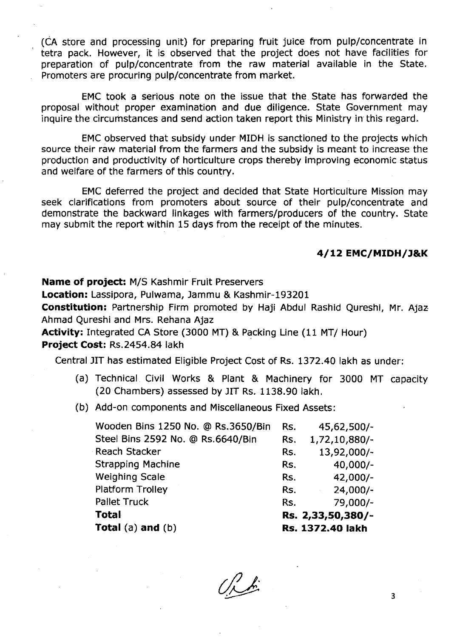(CA store and processing unit) for preparing fruit juice from pulp/concentrate in tetra pack. However, it is observed that the project does not have facilities for preparation of pulp/concentrate from the raw material available in the State. Promoters are procuring pulp/concentrate from market.

EMC took a serious note on the issue that the State has forwarded the proposal without proper examination and due diligence. State Government may inquire the circumstances and send action taken report this Ministry in this regard.

EMC observed that subsidy under MIDH is sanctioned to the projects which source their raw material from the farmers and the subsidy is meant to increase the production and productivity of horticulture crops thereby improving economic status and welfare of the farmers of this country.

EMC deferred the project and decided that State Horticulture Mission may seek clarifications from promoters about source of their pulp/concentrate and demonstrate the backward linkages with farmers/producers of the country. State may submit the report within 15 days from the receipt of the minutes.

## **4/12 EMC/MIDH/l&K**

**Name of project:** M/S Kashmir Fruit Preservers

**Location:** Lassipora, Pulwama, Jammu & Kashmir-193201

**Constitution:** Partnership Firm promoted by Haji Abdul Rashid Qureshi, Mr. Ajaz: Ahmad Qureshi and Mrs. Rehana Ajaz

**Activity:** Integrated CA Store (3000 MT) & Packlnq Line (11 MT/ Hour)

## **Project Cost:** Rs.2454.84 lakh

Central JIT has estimated Eligible Project Cost of Rs. 1372.40 lakh as under:

- (a) Technical Civil Works & Plant & Machinery for 3000 MT capacity (20 Chambers) assessed by JIT Rs. 1138.90 lakh.
- (b) Add-on components and Miscellaneous Fixed Assets:

| Total $(a)$ and $(b)$              |     | Rs. 1372.40 lakh  |
|------------------------------------|-----|-------------------|
| Total                              |     | Rs. 2,33,50,380/- |
| <b>Pallet Truck</b>                | Rs. | 79,000/-          |
| <b>Platform Trolley</b>            | Rs. | $24,000/-$        |
| Weighing Scale                     | Rs. | $42,000/-$        |
| <b>Strapping Machine</b>           | Rs. | $40,000/-$        |
| Reach Stacker                      | Rs. | 13,92,000/-       |
| Steel Bins 2592 No. @ Rs.6640/Bin  | Rs. | 1,72,10,880/-     |
| Wooden Bins 1250 No. @ Rs.3650/Bin | Rs. | 45,62,500/-       |

 $\frac{1}{\lambda}$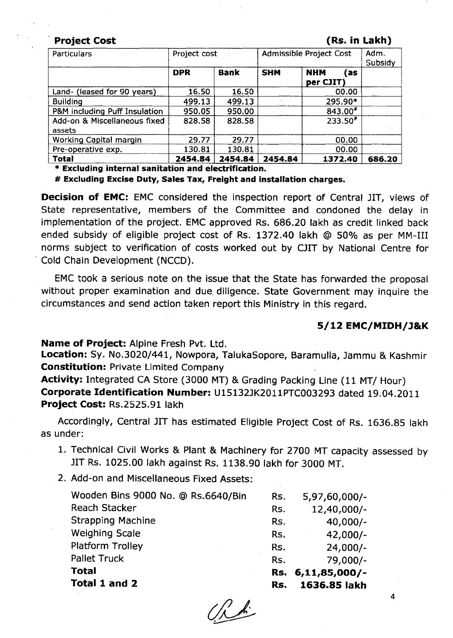### **. Project Cost (Rs. in Lakh)**

| Particulars                                          | Project cost |             | Admissible Project Cost | Adm.<br>Subsidy                 |        |
|------------------------------------------------------|--------------|-------------|-------------------------|---------------------------------|--------|
|                                                      | <b>DPR</b>   | <b>Bank</b> | <b>SHM</b>              | <b>NHM</b><br>l as<br>per CJIT) |        |
| Land- (leased for 90 years)                          | 16.50        | 16.50       |                         | 00.00                           |        |
| <b>Building</b>                                      | 499.13       | 499.13      |                         | 295.90*                         |        |
| P&M including Puff Insulation                        | 950.05       | 950.00      |                         | $843.00*$                       |        |
| Add-on & Miscellaneous fixed<br>assets               | 828.58       | 828.58      |                         | $233.50*$                       |        |
| Working Capital margin                               | 29.77        | 29.77       |                         | 00.00                           |        |
| Pre-operative exp.                                   | 130.81       | 130.81      |                         | 00.00                           |        |
| <b>Total</b>                                         | 2454.84      | 2454.84     | 2454.84                 | 1372.40                         | 686.20 |
| * Excluding internal sanitation and electrification. |              |             |                         |                                 |        |

**# Excluding Excise Duty, Sales Tax, Freight and installation charges.**

**Decision of EMC:** EMC considered the inspection report of Central JIT, views of State representative, members of the Committee and condoned the delay in implementation of the project. EMC approved Rs. 686.20 lakh as credit linked back ended subsidy of eligible project cost of Rs. 1372.40 lakh @ 50% as per MM-II. norms subject to verification of costs worked out by CJIT by National Centre for Cold Chain Development (NCCD).

EMC took a serious note on the issue that the State has forwarded the proposal without proper examination and due diligence. State Government may inquire the circumstances and send action taken report this Ministry in this regard.

### *5/12* **EMC/MIDH/l&K**

## **Name of Project:** Alpine Fresh Pvt. Ltd.

**Location:** Sy. No.3020/441, Nowpora, TalukaSopore, Baramulla, Jammu & Kashmir **Constitution:** Private Limited Company

**Activity:** Integrated CA Store (3000 MT) & Grading Packing Line (11 MT/ Hour) **Corporate Identification Number:** U15132JK2011PTC003293 dated 19.04.2011 **Project Cost:** Rs.2525.91 lakh

Accordingly, Central JIT has estimated Eligible Project Cost of Rs. 1636.85 lakh as under:

- 1. Technical Civil Works & Plant & Machinery for 2700 MT capacity assessed by JIT Rs. 1025.00 lakh against Rs. 1138.90 lakh for 3000 MT.
- 2. Add-on and Miscellaneous Fixed Assets:

| Wooden Bins 9000 No. @ Rs.6640/Bin | Rs. | 5,97,60,000/-   |
|------------------------------------|-----|-----------------|
| Reach Stacker                      | Rs. | 12,40,000/-     |
| <b>Strapping Machine</b>           | Rs. | $40,000/-$      |
| <b>Weighing Scale</b>              | Rs. | $42,000/-$      |
| Platform Trolley                   | Rs. | $24,000/-$      |
| <b>Pallet Truck</b>                | Rs. | 79,000/-        |
| <b>Total</b>                       | Rs. | $6,11,85,000/-$ |
| Total 1 and 2                      | Rs. | 1636.85 lakh    |

 $\frac{1}{\sqrt{2}}$ 

4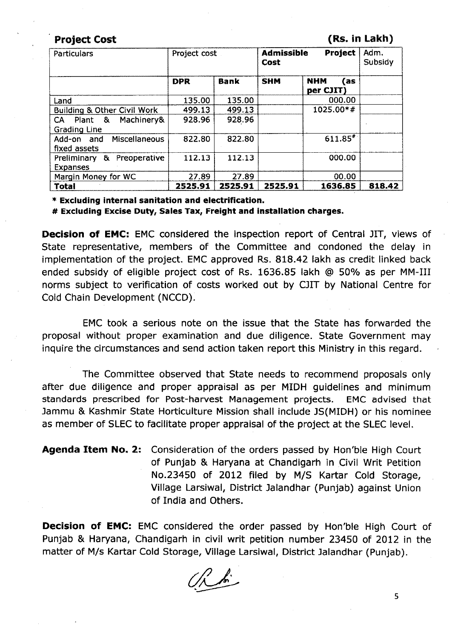### Project Cost **(RS. in Lakh)**

| Particulars                                         | Project cost |             | <b>Admissible</b><br>Cost | Adm.<br>Subsidy                |        |
|-----------------------------------------------------|--------------|-------------|---------------------------|--------------------------------|--------|
|                                                     | <b>DPR</b>   | <b>Bank</b> | <b>SHM</b>                | <b>NHM</b><br>(as<br>per CJIT) |        |
| Land                                                | 135.00       | 135.00      |                           | 000.00                         |        |
| <b>Building &amp; Other Civil Work</b>              | 499.13       | 499.13      |                           | 1025.00*#                      |        |
| Machinery&<br>Plant &<br>CA.<br><b>Grading Line</b> | 928.96       | 928.96      |                           |                                |        |
| Miscellaneous<br>Add-on and<br>fixed assets         | 822.80       | 822.80      |                           | $611.85^{*}$                   |        |
| Preoperative<br>&<br>Preliminary<br><b>Expanses</b> | 112.13       | 112.13      |                           | 000.00                         |        |
| Margin Money for WC                                 | 27.89        | 27.89       |                           | 00.00                          |        |
| Total                                               | 2525.91      | 2525.91     | 2525.91                   | 1636.85                        | 818.42 |

\* Excluding internal sanitation and electrification.

# Excluding Excise Duty, Sales Tax, Freight and installation charges.

Decision of EMC: EMC considered the inspection report of Central JIT, views of State representative, members of the Committee and condoned the delay in implementation of the project. EMC approved Rs. 818.42 lakh as credit linked back ended subsidy of eligible project cost of Rs. 1636.85 lakh @ 50% as per MM-III norms subject to verification of costs worked out by CJIT by National Centre for Cold Chain Development (NCCD).

EMC took a serious note on the issue that the State has forwarded the proposal without proper examination and due diligence. State Government may inquire the circumstances and send action taken report this Ministry in this regard.

The Committee observed that State needs to recommend proposals only after due diligence and proper appraisal as per MIDH guidelines and minimum standards prescribed for Post-harvest Management projects. EMC advised that Jammu & Kashmir State Horticulture Mission shall include JS(MIDH) or his nominee as member of SLEC to facilitate proper appraisal of the project at the SLEC level.

Agenda Item No. 2: Consideration of the orders passed by Hon'ble High Court of Punjab & Haryana at Chandigarh in Civil Writ Petition NO.23450 of 2012 filed by *MIS* Kartar Cold Storage, Village Larsiwal, District Jalandhar (Punjab) against Union of India and Others.

**Decision of EMC:** EMC considered the order passed by Hon'ble High Court of Punjab & Haryana, Chandigarh in civil writ petition number 23450 of 2012 in the matter of M/s Kartar Cold Storage, Village Larsiwal, District Jalandhar (Punjab).

 $\mathcal{L}^{\mathcal{L}}$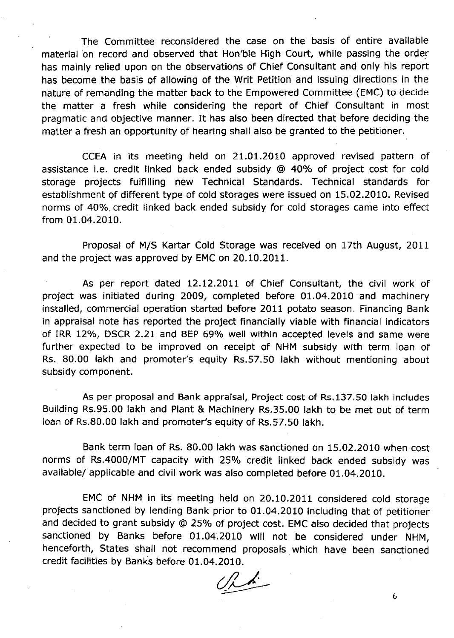The Committee reconsidered the case on the basis of entire available material 'on record and observed that Hon'ble High Court, while passing the order has mainly relied upon on the observations of Chief Consultant and only his report has become the basis of allowing of the Writ Petition and issuing directions in the nature of remanding the matter back to the Empowered Committee (EMC) to decide the matter a fresh while considering the report of Chief Consultant in most pragmatic and objective manner. It has also been directed that before deciding the matter a fresh an opportunity of hearing shall also be granted to the petitioner.

CCEA in its meeting held on 21.01.2010 approved revised pattern of assistance i.e. credit linked back ended subsidy @ 40% of project cost for cold storage projects fulfilling new Technical Standards. Technical standards for establishment of different type of cold storages were issued on 15.02.2010. Revised norms of 40%. credit linked back ended subsidy for cold storages came into *effect* from 01.04.2010.

Proposal of M/S Kartar Cold Storage was received on 17th August, 2011 and the project was approved by EMC on 20.10.2011.

As per report dated 12.12.2011 of Chief Consultant, the civil work of project was initiated during 2009, completed before 01.04.2010 and machinery installed, commercial operation started before 2011 potato season. Financing Bank in appraisal note has reported the project financially viable with financial indicators of IRR 12%, DSCR 2.21 and BEP 69% well within accepted levels and same were further expected to be improved on receipt of NHM subsidy with term loan of Rs. 80.00 lakh and promoter's equity Rs.57.50 lakh without mentioning about subsidy component.

As per proposal and Bank appraisal, Project cost of Rs.137.s0 lakh includes Building Rs.95.00 lakh and Plant & Machinery Rs.35.00 lakh to be met out of term loan of Rs.80.00 lakh and promoter's equity of Rs.57.50 lakh.

Bank term loan of Rs. 80.00 lakh was sanctioned on 15.02.2010 when cost norms of Rs.4000/MT capacity with 25% credit linked back ended subsidy was available/ applicable and civil work was also completed before 01.04.2010.

EMC of NHM in its meeting held on 20.10.2011 considered cold storage projects sanctioned by lending Bank prior to 01.04.2010 including that of petitioner and decided to grant subsidy @ 25% of project cost. EMC also decided that projects sanctioned by Banks before 01.04.2010 will not be considered under NHM, henceforth, States shall not recommend proposals which have been sanctioned credit facilities by Banks before 01.04.2010.

~ ~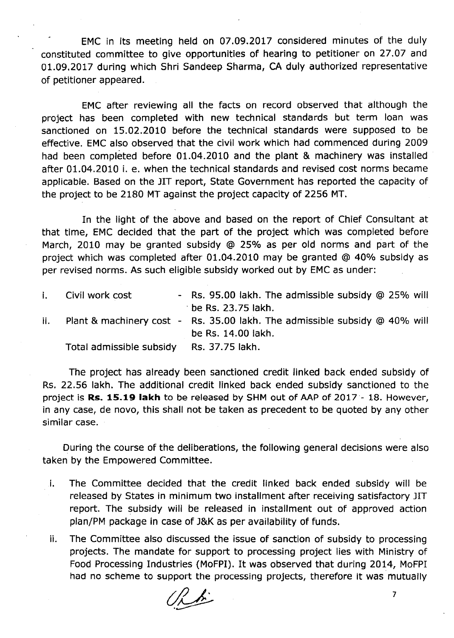EMC in its meeting held on 07.09.2017 considered minutes of the duly constituted committee to give opportunities of hearing to petitioner on 27.07 and 01.09.2017 during which Shri Sandeep Sharma, CA duly authorized representative of petitioner appeared.

EMC after reviewing all the facts on record observed that although the project has been completed with new technical standards but term loan was sanctioned on 15.02.2010 before the technical standards were supposed to be effective. EMC also observed that the civil work which had commenced during 2009 had been completed before 01.04.2010 and the plant & machinery was installed· after 01.04.2010 i. e. when the technical standards and revised cost norms became applicable. Based on the JIT report, State Government has reported the capacity of the project to be 2180 MT against the project capacity of 2256 MT.

In the light of the above and based on the report of Chief Consultant at that time, EMC decided that the part of the project which was completed before March, 2010 may be granted subsidy @ 25% as per old norms and part of the project which was completed after 01.04.2010 may be granted @ 40% subsidy as per revised norms. As such eligible subsidy worked out by EMC as under:

| i. Civil work cost                       | - Rs. 95.00 lakh. The admissible subsidy @ 25% will                            |
|------------------------------------------|--------------------------------------------------------------------------------|
|                                          | be Rs. 23.75 lakh.                                                             |
|                                          | ii. Plant & machinery cost - Rs. 35.00 lakh. The admissible subsidy @ 40% will |
|                                          | be Rs. 14.00 lakh.                                                             |
| Total admissible subsidy Rs. 37.75 lakh. |                                                                                |

The project has already been sanctioned credit linked back ended subsidy of Rs. 22.56 lakh. The additional credit linked back ended subsidy sanctioned to the project is Rs. 15.19 lakh to be released by SHM out of AAP of 2017 - 18. However, in any case, de novo, this shall not be taken as precedent to be quoted by any other similar case.

During the course of the deliberations, the following general decisions were also taken by the Empowered Committee.

- I, The Committee decided that the credit linked back ended subsidy will be released by States in minimum two installment after receiving satisfactory JIT report. The subsidy will be released in installment out of approved action plan/PM package in case of J&K as per availability of funds.
- ii. The Committee also discussed the issue of sanction of subsidy to processing projects. The mandate for support to processing project lies with Ministry of Food Processing Industries (MoFPI). It was observed that during 2014, MoFPI had no scheme to support the processing projects, therefore it was mutually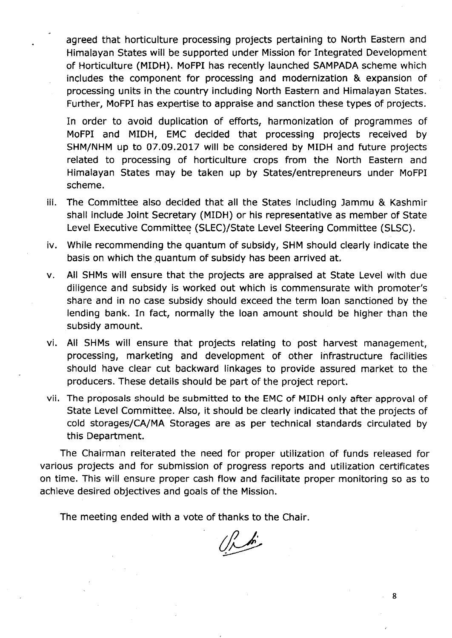agreed that horticulture processing projects pertaining to North Eastern and Himalayan States will be supported under Mission for Integrated Development of Horticulture (MIDH). MoFPI has recently launched SAMPADA scheme which includes the component for processing and modernization & expansion of processing units in the country including North Eastern and Himalayan States. Further, MoFPI has expertise to appraise and sanction these types of projects.

In order to avoid duplication of *efforts,* harmonization of programmes of MoFPI and MIDH, EMC decided that processing projects received by SHM/NHM up to 07.09.2017 will be considered by MIOH and future projects related to processing of horticulture crops from the North Eastern and Himalayan States may be taken up by States/entrepreneurs under MoFPI scheme.

- iii. The Committee also decided that all the States including Jammu & Kashmir shall include Joint Secretary (MIDH) or his representative as member of State Level Executive Committee (SLEC)/State Level Steering Committee (SLSC).
- iv. While recommending the quantum of subsidy, SHM should clearly indicate the basis on which the quantum of subsidy has been arrived at.
- v. All SHMs will ensure that the projects are appraised at State Level with due diligence and subsidy is worked out which is commensurate with promoter's share and in no case subsidy should exceed the term loan sanctioned by the lending bank. In fact, normally the loan amount should be higher than the subsidy amount.
- vi. All SHMs will ensure that projects relating to post harvest management, processlnq, marketing and development of other infrastructure facilities should have clear cut backward linkages to provide assured market to the producers. These details should be part of the project report.
- vii. The proposals should be submitted to the EMC of MIDH only after approval of State Level Committee. Also, it should be clearly indicated that the projects of cold storages/CAlMA Storages are as per technical standards circulated by this Department.

The Chairman reiterated the need for proper utilization of funds released for various projects and for submission of progress reports and utilization certificates on time. This will ensure proper cash flow and facilitate proper monitoring so as to achieve desired objectives and goals of the Mission.

The meeting ended with a vote of thanks to the Chair.

 $\mathbb{Z}^{\prime}$